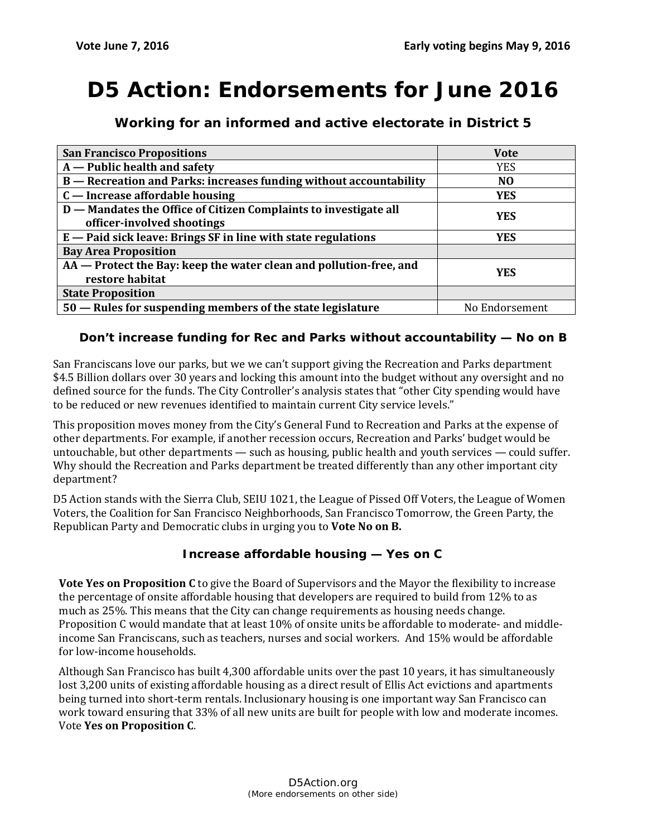# **D5 Action: Endorsements for June 2016**

| <b>San Francisco Propositions</b>                                                              | <b>Vote</b>    |
|------------------------------------------------------------------------------------------------|----------------|
| $A$ – Public health and safety                                                                 | <b>YES</b>     |
| B - Recreation and Parks: increases funding without accountability                             | N <sub>0</sub> |
| C — Increase affordable housing                                                                | <b>YES</b>     |
| D - Mandates the Office of Citizen Complaints to investigate all<br>officer-involved shootings | <b>YES</b>     |
| $E$ – Paid sick leave: Brings SF in line with state regulations                                | <b>YES</b>     |
| <b>Bay Area Proposition</b>                                                                    |                |
| AA - Protect the Bay: keep the water clean and pollution-free, and<br>restore habitat          | <b>YES</b>     |
| <b>State Proposition</b>                                                                       |                |
| 50 – Rules for suspending members of the state legislature                                     | No Endorsement |

**Working for an informed and active electorate in District 5**

#### **Don't increase funding for Rec and Parks without accountability — No on B**

San Franciscans love our parks, but we we can't support giving the Recreation and Parks department \$4.5 Billion dollars over 30 years and locking this amount into the budget without any oversight and no defined source for the funds. The City Controller's analysis states that "other City spending would have to be reduced or new revenues identified to maintain current City service levels."

This proposition moves money from the City's General Fund to Recreation and Parks at the expense of other departments. For example, if another recession occurs, Recreation and Parks' budget would be untouchable, but other departments — such as housing, public health and youth services — could suffer. Why should the Recreation and Parks department be treated differently than any other important city department?

D5 Action stands with the Sierra Club, SEIU 1021, the League of Pissed Off Voters, the League of Women Voters, the Coalition for San Francisco Neighborhoods, San Francisco Tomorrow, the Green Party, the Republican Party and Democratic clubs in urging you to **Vote No on B.**

#### **Increase affordable housing — Yes on C**

**Vote Yes on Proposition C** to give the Board of Supervisors and the Mayor the flexibility to increase the percentage of onsite affordable housing that developers are required to build from 12% to as much as 25%. This means that the City can change requirements as housing needs change. Proposition C would mandate that at least 10% of onsite units be affordable to moderate- and middleincome San Franciscans, such as teachers, nurses and social workers. And 15% would be affordable for low-income households.

Although San Francisco has built 4,300 affordable units over the past 10 years, it has simultaneously lost 3,200 units of existing affordable housing as a direct result of Ellis Act evictions and apartments being turned into short-term rentals. Inclusionary housing is one important way San Francisco can work toward ensuring that 33% of all new units are built for people with low and moderate incomes. Vote **Yes on Proposition C**.